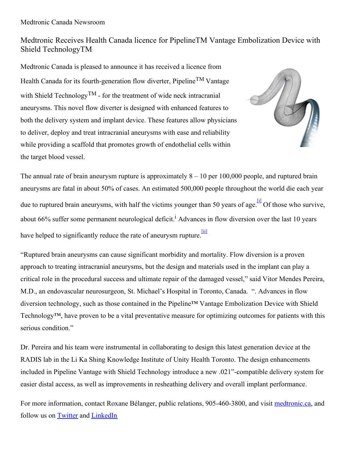## Medtronic Receives Health Canada licence for PipelineTM Vantage Embolization Device with Shield TechnologyTM

Medtronic Canada is pleased to announce it has received a licence from Health Canada for its fourth-generation flow diverter, Pipeline<sup>TM</sup> Vantage with Shield Technology<sup>TM</sup> - for the treatment of wide neck intracranial aneurysms. This novel flow diverter is designed with enhanced features to both the delivery system and implant device. These features allow physicians to deliver, deploy and treat intracranial aneurysms with ease and reliability while providing a scaffold that promotes growth of endothelial cells within the target blood vessel.



The annual rate of brain aneurysm rupture is approximately  $8 - 10$  per 100,000 people, and ruptured brain aneurysms are fatal in about 50% of cases. An estimated 500,000 people throughout the world die each year due to ruptured brain aneurysms, with half the victims younger than 50 years of age. <sup>[\[i\]](https://n0151c-my.sharepoint.com/personal/arden_palmquist_cision_com/Documents/Attachments/Pipeline Vantage News Alert -Final EN 0331.docx#_edn1)</sup> Of those who survive, about 66% suffer some permanent neurological deficit.<sup>1</sup> Advances in flow diversion over the last 10 years have helped to significantly reduce the rate of aneurysm rupture.

"Ruptured brain aneurysms can cause significant morbidity and mortality. Flow diversion is a proven approach to treating intracranial aneurysms, but the design and materials used in the implant can play a critical role in the procedural success and ultimate repair of the damaged vessel," said Vitor Mendes Pereira, M.D., an endovascular neurosurgeon, St. Michael's Hospital in Toronto, Canada. ". Advances in flow diversion technology, such as those contained in the Pipeline™ Vantage Embolization Device with Shield Technology™, have proven to be a vital preventative measure for optimizing outcomes for patients with this serious condition."

Dr. Pereira and his team were instrumental in collaborating to design this latest generation device at the RADIS lab in the Li Ka Shing Knowledge Institute of Unity Health Toronto. The design enhancements included in Pipeline Vantage with Shield Technology introduce a new .021"-compatible delivery system for easier distal access, as well as improvements in resheathing delivery and overall implant performance.

For more information, contact Roxane Bélanger, public relations, 905-460-3800, and visit [medtronic.ca](https://www.medtronic.com/ca-en/index.html), and follow us on [Twitter](https://twitter.com/MedtronicCA) and [LinkedIn](https://www.linkedin.com/showcase/medtronic-canada)